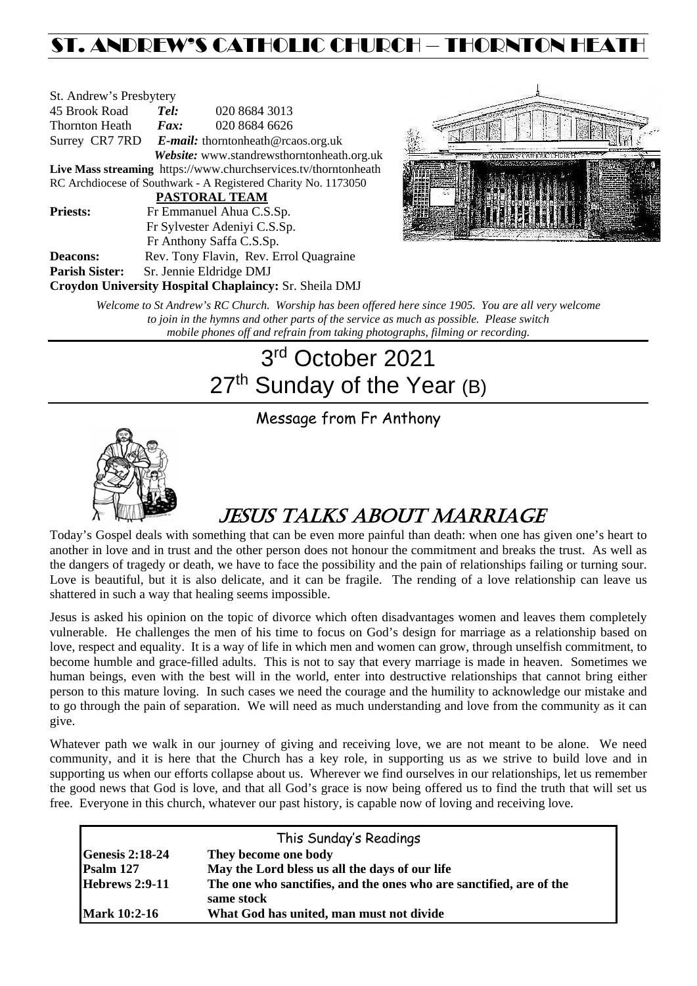## ST. ANDREW'S CATHOLIC CHURCH – THORNTON HEAT

| St. Andrew's Presbytery                                         |                                                   |                                            |  |  |  |
|-----------------------------------------------------------------|---------------------------------------------------|--------------------------------------------|--|--|--|
| 45 Brook Road                                                   | Tel:                                              | 020 8684 3013                              |  |  |  |
| Thornton Heath                                                  | $\boldsymbol{F}$ <i>ax</i> :                      | 020 8684 6626                              |  |  |  |
|                                                                 | Surrey CR7 7RD E-mail: thorntonheath@rcaos.org.uk |                                            |  |  |  |
|                                                                 |                                                   | Website: www.standrewsthorntonheath.org.uk |  |  |  |
| Live Mass streaming https://www.churchservices.tv/thorntonheath |                                                   |                                            |  |  |  |
| RC Archdiocese of Southwark - A Registered Charity No. 1173050  |                                                   |                                            |  |  |  |
| <b>PASTORAL TEAM</b>                                            |                                                   |                                            |  |  |  |
| <b>Priests:</b>                                                 | Fr Emmanuel Ahua C.S.Sp.                          |                                            |  |  |  |
| Fr Sylvester Adeniyi C.S.Sp.                                    |                                                   |                                            |  |  |  |
|                                                                 | Fr Anthony Saffa C.S.Sp.                          |                                            |  |  |  |
| Deacons:                                                        | Rev. Tony Flavin, Rev. Errol Quagraine            |                                            |  |  |  |
| <b>Parish Sister:</b>                                           |                                                   | Sr. Jennie Eldridge DMJ                    |  |  |  |
| Croydon University Hospital Chaplaincy: Sr. Sheila DMJ          |                                                   |                                            |  |  |  |



*Welcome to St Andrew's RC Church. Worship has been offered here since 1905. You are all very welcome to join in the hymns and other parts of the service as much as possible. Please switch mobile phones off and refrain from taking photographs, filming or recording.*

# 3rd October 2021 27<sup>th</sup> Sunday of the Year (B)

Message from Fr Anthony



## JESUS TALKS ABOUT MARRIAGE

Today's Gospel deals with something that can be even more painful than death: when one has given one's heart to another in love and in trust and the other person does not honour the commitment and breaks the trust. As well as the dangers of tragedy or death, we have to face the possibility and the pain of relationships failing or turning sour. Love is beautiful, but it is also delicate, and it can be fragile. The rending of a love relationship can leave us shattered in such a way that healing seems impossible.

Jesus is asked his opinion on the topic of divorce which often disadvantages women and leaves them completely vulnerable. He challenges the men of his time to focus on God's design for marriage as a relationship based on love, respect and equality. It is a way of life in which men and women can grow, through unselfish commitment, to become humble and grace-filled adults. This is not to say that every marriage is made in heaven. Sometimes we human beings, even with the best will in the world, enter into destructive relationships that cannot bring either person to this mature loving. In such cases we need the courage and the humility to acknowledge our mistake and to go through the pain of separation. We will need as much understanding and love from the community as it can give.

Whatever path we walk in our journey of giving and receiving love, we are not meant to be alone. We need community, and it is here that the Church has a key role, in supporting us as we strive to build love and in supporting us when our efforts collapse about us. Wherever we find ourselves in our relationships, let us remember the good news that God is love, and that all God's grace is now being offered us to find the truth that will set us free. Everyone in this church, whatever our past history, is capable now of loving and receiving love.

| This Sunday's Readings |                                                                                   |  |  |  |
|------------------------|-----------------------------------------------------------------------------------|--|--|--|
| <b>Genesis 2:18-24</b> | They become one body                                                              |  |  |  |
| Psalm 127              | May the Lord bless us all the days of our life                                    |  |  |  |
| <b>Hebrews 2:9-11</b>  | The one who sanctifies, and the ones who are sanctified, are of the<br>same stock |  |  |  |
| <b>Mark 10:2-16</b>    | What God has united, man must not divide                                          |  |  |  |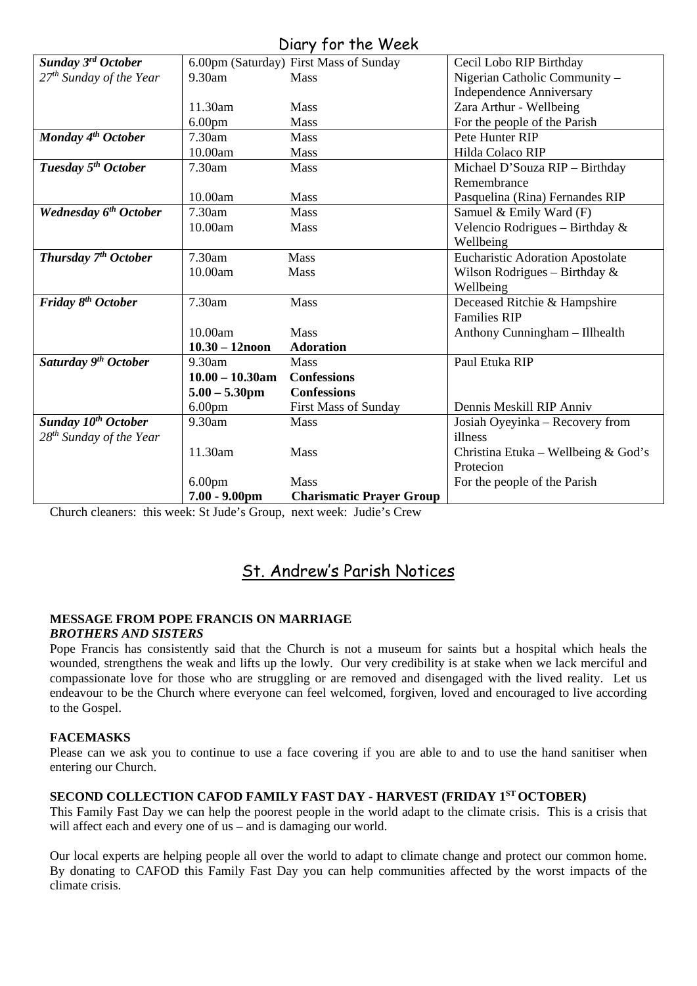|  |  |  | Diary for the Week |
|--|--|--|--------------------|
|--|--|--|--------------------|

|                                     |                    | U(u, y, 101, 110, 1100)                |                                         |
|-------------------------------------|--------------------|----------------------------------------|-----------------------------------------|
| Sunday $3^{rd}$ October             |                    | 6.00pm (Saturday) First Mass of Sunday | Cecil Lobo RIP Birthday                 |
| 27 <sup>th</sup> Sunday of the Year | 9.30am             | <b>Mass</b>                            | Nigerian Catholic Community -           |
|                                     |                    |                                        | <b>Independence Anniversary</b>         |
|                                     | 11.30am            | <b>Mass</b>                            | Zara Arthur - Wellbeing                 |
|                                     | 6.00 <sub>pm</sub> | <b>Mass</b>                            | For the people of the Parish            |
| Monday 4 <sup>th</sup> October      | 7.30am             | <b>Mass</b>                            | Pete Hunter RIP                         |
|                                     | 10.00am            | <b>Mass</b>                            | Hilda Colaco RIP                        |
| Tuesday 5 <sup>th</sup> October     | 7.30am             | Mass                                   | Michael D'Souza RIP - Birthday          |
|                                     |                    |                                        | Remembrance                             |
|                                     | 10.00am            | Mass                                   | Pasquelina (Rina) Fernandes RIP         |
| <b>Wednesday 6th October</b>        | 7.30am             | <b>Mass</b>                            | Samuel & Emily Ward (F)                 |
|                                     | 10.00am            | Mass                                   | Velencio Rodrigues - Birthday &         |
|                                     |                    |                                        | Wellbeing                               |
| Thursday $7th October$              | 7.30am             | <b>Mass</b>                            | <b>Eucharistic Adoration Apostolate</b> |
|                                     | 10.00am            | Mass                                   | Wilson Rodrigues - Birthday $\&$        |
|                                     |                    |                                        | Wellbeing                               |
| Friday 8 <sup>th</sup> October      | 7.30am             | Mass                                   | Deceased Ritchie & Hampshire            |
|                                     |                    |                                        | <b>Families RIP</b>                     |
|                                     | 10.00am            | Mass                                   | Anthony Cunningham - Illhealth          |
|                                     | $10.30 - 12$ noon  | <b>Adoration</b>                       |                                         |
| Saturday 9 <sup>th</sup> October    | 9.30am             | Mass                                   | Paul Etuka RIP                          |
|                                     | $10.00 - 10.30$ am | <b>Confessions</b>                     |                                         |
|                                     | $5.00 - 5.30$ pm   | <b>Confessions</b>                     |                                         |
|                                     | 6.00 <sub>pm</sub> | <b>First Mass of Sunday</b>            | Dennis Meskill RIP Anniv                |
| Sunday 10 <sup>th</sup> October     | 9.30am             | Mass                                   | Josiah Oyeyinka – Recovery from         |
| $28^{th}$ Sunday of the Year        |                    |                                        | illness                                 |
|                                     | 11.30am            | Mass                                   | Christina Etuka – Wellbeing & God's     |
|                                     |                    |                                        | Protecion                               |
|                                     | 6.00 <sub>pm</sub> | <b>Mass</b>                            | For the people of the Parish            |
|                                     | $7.00 - 9.00$ pm   | <b>Charismatic Prayer Group</b>        |                                         |

Church cleaners: this week: St Jude's Group, next week: Judie's Crew

## St. Andrew's Parish Notices

#### **MESSAGE FROM POPE FRANCIS ON MARRIAGE** *BROTHERS AND SISTERS*

Pope Francis has consistently said that the Church is not a museum for saints but a hospital which heals the wounded, strengthens the weak and lifts up the lowly. Our very credibility is at stake when we lack merciful and compassionate love for those who are struggling or are removed and disengaged with the lived reality. Let us endeavour to be the Church where everyone can feel welcomed, forgiven, loved and encouraged to live according to the Gospel.

## **FACEMASKS**

Please can we ask you to continue to use a face covering if you are able to and to use the hand sanitiser when entering our Church.

## **SECOND COLLECTION CAFOD FAMILY FAST DAY - HARVEST (FRIDAY 1ST OCTOBER)**

This Family Fast Day we can help the poorest people in the world adapt to the climate crisis. This is a crisis that will affect each and every one of us – and is damaging our world.

Our local experts are helping people all over the world to adapt to climate change and protect our common home. By donating to CAFOD this Family Fast Day you can help communities affected by the worst impacts of the climate crisis.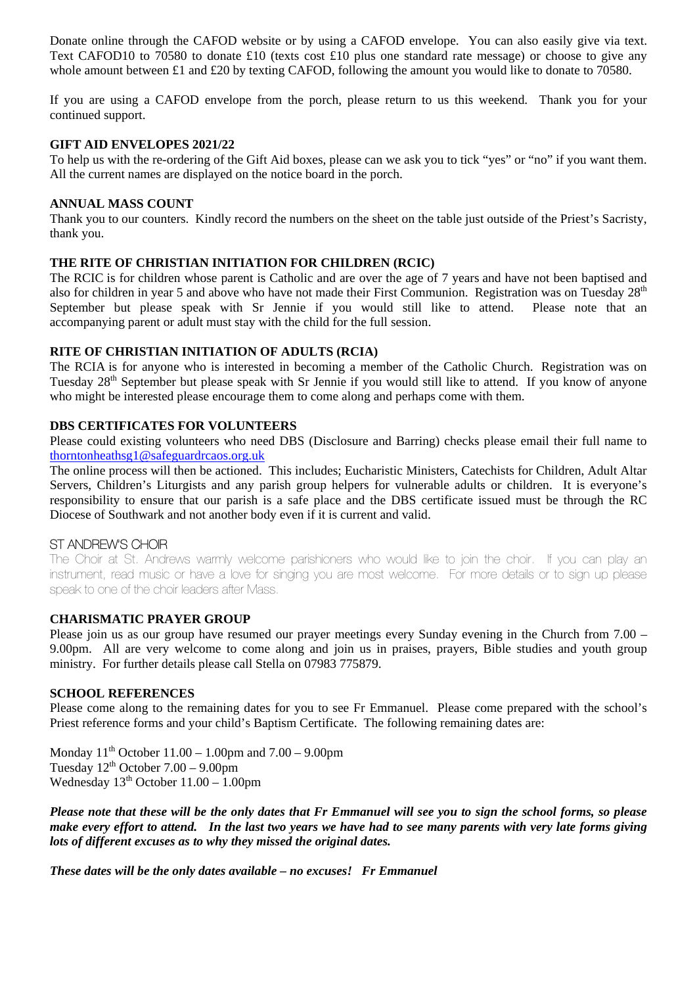Donate online through the CAFOD website or by using a CAFOD envelope. You can also easily give via text. Text CAFOD10 to 70580 to donate £10 (texts cost £10 plus one standard rate message) or choose to give any whole amount between £1 and £20 by texting CAFOD, following the amount you would like to donate to 70580.

If you are using a CAFOD envelope from the porch, please return to us this weekend. Thank you for your continued support.

#### **GIFT AID ENVELOPES 2021/22**

To help us with the re-ordering of the Gift Aid boxes, please can we ask you to tick "yes" or "no" if you want them. All the current names are displayed on the notice board in the porch.

#### **ANNUAL MASS COUNT**

Thank you to our counters. Kindly record the numbers on the sheet on the table just outside of the Priest's Sacristy, thank you.

### **THE RITE OF CHRISTIAN INITIATION FOR CHILDREN (RCIC)**

The RCIC is for children whose parent is Catholic and are over the age of 7 years and have not been baptised and also for children in year 5 and above who have not made their First Communion. Registration was on Tuesday 28<sup>th</sup> September but please speak with Sr Jennie if you would still like to attend. Please note that an accompanying parent or adult must stay with the child for the full session.

#### **RITE OF CHRISTIAN INITIATION OF ADULTS (RCIA)**

The RCIA is for anyone who is interested in becoming a member of the Catholic Church. Registration was on Tuesday 28<sup>th</sup> September but please speak with Sr Jennie if you would still like to attend. If you know of anyone who might be interested please encourage them to come along and perhaps come with them.

#### **DBS CERTIFICATES FOR VOLUNTEERS**

Please could existing volunteers who need DBS (Disclosure and Barring) checks please email their full name to [thorntonheathsg1@safeguardrcaos.org.uk](mailto:thorntonheathsg1@safeguardrcaos.org.uk)

The online process will then be actioned. This includes; Eucharistic Ministers, Catechists for Children, Adult Altar Servers, Children's Liturgists and any parish group helpers for vulnerable adults or children. It is everyone's responsibility to ensure that our parish is a safe place and the DBS certificate issued must be through the RC Diocese of Southwark and not another body even if it is current and valid.

#### ST ANDREW'S CHOIR

The Choir at St. Andrews warmly welcome parishioners who would like to join the choir. If you can play an instrument, read music or have a love for singing you are most welcome. For more details or to sign up please speak to one of the choir leaders after Mass.

#### **CHARISMATIC PRAYER GROUP**

Please join us as our group have resumed our prayer meetings every Sunday evening in the Church from 7.00 – 9.00pm. All are very welcome to come along and join us in praises, prayers, Bible studies and youth group ministry. For further details please call Stella on 07983 775879.

### **SCHOOL REFERENCES**

Please come along to the remaining dates for you to see Fr Emmanuel. Please come prepared with the school's Priest reference forms and your child's Baptism Certificate. The following remaining dates are:

Monday  $11^{th}$  October  $11.00 - 1.00$  pm and  $7.00 - 9.00$  pm Tuesday  $12<sup>th</sup>$  October  $7.00 - 9.00$ pm Wednesday  $13<sup>th</sup>$  October  $11.00 - 1.00$ pm

*Please note that these will be the only dates that Fr Emmanuel will see you to sign the school forms, so please make every effort to attend. In the last two years we have had to see many parents with very late forms giving lots of different excuses as to why they missed the original dates.* 

*These dates will be the only dates available – no excuses! Fr Emmanuel*